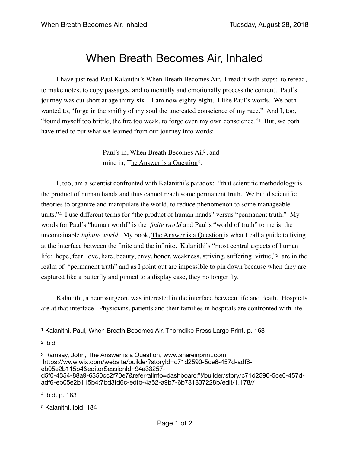## When Breath Becomes Air, Inhaled

I have just read Paul Kalanithi's When Breath Becomes Air. I read it with stops: to reread, to make notes, to copy passages, and to mentally and emotionally process the content. Paul's journey was cut short at age thirty-six—I am now eighty-eight. I like Paul's words. We both wanted to, "forge in the smithy of my soul the uncreated conscience of my race." And I, too, "found myself too brittle, the fire too weak, to forge even my own conscience.["1](#page-0-0) But, we both have tried to put what we learned from our journey into words:

> <span id="page-0-9"></span><span id="page-0-7"></span><span id="page-0-6"></span><span id="page-0-5"></span>Paul's in, When Breath Becomes Air<sup>[2](#page-0-1)</sup>, and mine in, The Answer is a Question<sup>[3](#page-0-2)</sup>.

<span id="page-0-8"></span>I, too, am a scientist confronted with Kalanithi's paradox: "that scientific methodology is the product of human hands and thus cannot reach some permanent truth. We build scientific theories to organize and manipulate the world, to reduce phenomenon to some manageable units."<sup>4</sup>I use different terms for "the product of human hands" versus "permanent truth." My words for Paul's "human world" is the *finite world* and Paul's "world of truth" to me is the uncontainable *infinite world*. My book, The Answer is a Question is what I call a guide to living at the interface between the finite and the infinite. Kalanithi's "most central aspects of human life:hope, fear, love, hate, beauty, envy, honor, weakness, striving, suffering, virtue,"<sup>[5](#page-0-4)</sup> are in the realm of "permanent truth" and as I point out are impossible to pin down because when they are captured like a butterfly and pinned to a display case, they no longer fly.

Kalanithi, a neurosurgeon, was interested in the interface between life and death. Hospitals are at that interface. Physicians, patients and their families in hospitals are confronted with life

<span id="page-0-2"></span>[3](#page-0-7) Ramsay, John, The Answer is a Question, [www.shareinprint.com](http://www.shareinprint.com) https://www.wix.com/website/builder?storyId=c71d2590-5ce6-457d-adf6 eb05e2b115b4&editorSessionId=94a33257 d5f0-4354-88a9-6350cc2f70e7&referralInfo=dashboard#!/builder/story/c71d2590-5ce6-457dadf6-eb05e2b115b4:7bd3fd6c-edfb-4a52-a9b7-6b781837228b/edit/1.178//

<span id="page-0-0"></span>[<sup>1</sup>](#page-0-5) Kalanithi, Paul, When Breath Becomes Air, Thorndike Press Large Print. p. 163

<span id="page-0-1"></span>[<sup>2</sup>](#page-0-6) ibid

<span id="page-0-3"></span>[<sup>4</sup>](#page-0-8) ibid. p. 183

<span id="page-0-4"></span>[<sup>5</sup>](#page-0-9) Kalanithi, ibid, 184